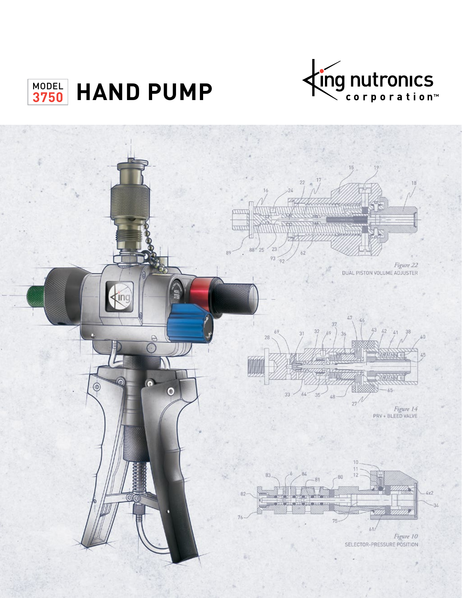

# MODEL HAND PUMP

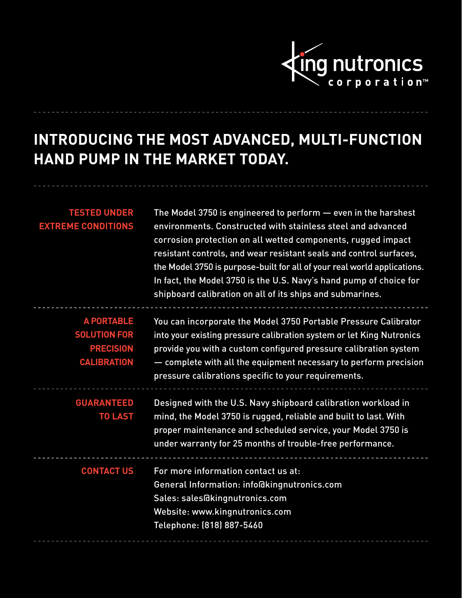

# **INTRODUCING THE MOST ADVANCED, MULTI-FUNCTION HAND PUMP IN THE MARKET TODAY.**

| <b>TESTED UNDER</b><br><b>EXTREME CONDITIONS</b> | The Model 3750 is engineered to perform - even in the harshest<br>environments. Constructed with stainless steel and advanced<br>corrosion protection on all wetted components, rugged impact<br>resistant controls, and wear resistant seals and control surfaces,<br>the Model 3750 is purpose-built for all of your real world applications.<br>In fact, the Model 3750 is the U.S. Navy's hand pump of choice for<br>shipboard calibration on all of its ships and submarines. |
|--------------------------------------------------|------------------------------------------------------------------------------------------------------------------------------------------------------------------------------------------------------------------------------------------------------------------------------------------------------------------------------------------------------------------------------------------------------------------------------------------------------------------------------------|
| <b>A PORTABLE</b><br><b>SOLUTION FOR</b>         | You can incorporate the Model 3750 Portable Pressure Calibrator                                                                                                                                                                                                                                                                                                                                                                                                                    |
| <b>PRECISION</b>                                 | into your existing pressure calibration system or let King Nutronics                                                                                                                                                                                                                                                                                                                                                                                                               |
| <b>CALIBRATION</b>                               | provide you with a custom configured pressure calibration system<br>- complete with all the equipment necessary to perform precision                                                                                                                                                                                                                                                                                                                                               |
|                                                  | pressure calibrations specific to your requirements.                                                                                                                                                                                                                                                                                                                                                                                                                               |
| <b>GUARANTEED</b><br><b>TO LAST</b>              | Designed with the U.S. Navy shipboard calibration workload in<br>mind, the Model 3750 is rugged, reliable and built to last. With<br>proper maintenance and scheduled service, your Model 3750 is<br>under warranty for 25 months of trouble-free performance.                                                                                                                                                                                                                     |
| <b>CONTACT US</b>                                | For more information contact us at:                                                                                                                                                                                                                                                                                                                                                                                                                                                |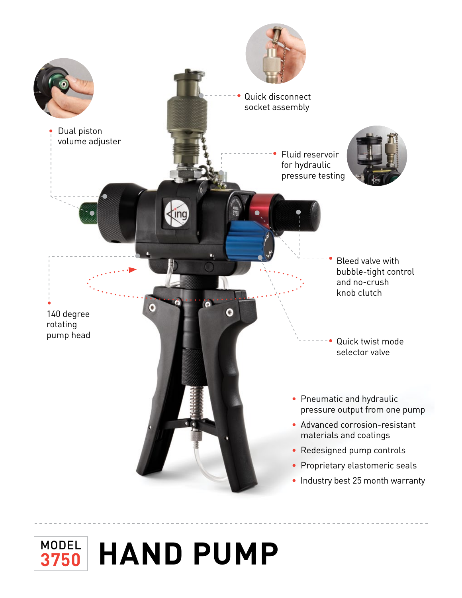

## **MODEL HAND PUMP 3750**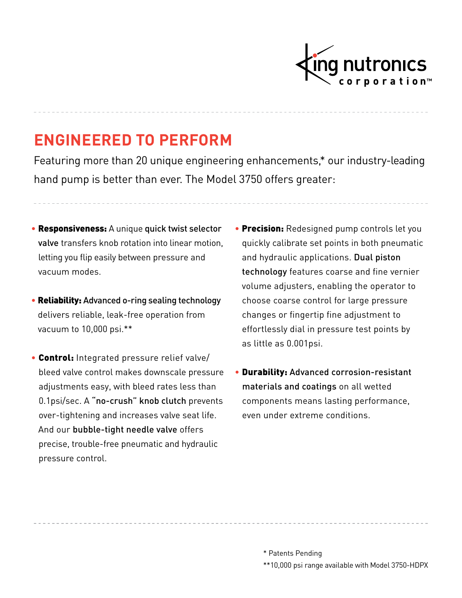

## **ENGINEERED TO PERFORM**

Featuring more than 20 unique engineering enhancements,\* our industry-leading hand pump is better than ever. The Model 3750 offers greater:

- Responsiveness: A unique quick twist selector valve transfers knob rotation into linear motion, letting you flip easily between pressure and vacuum modes.
- Reliability: Advanced o-ring sealing technology delivers reliable, leak-free operation from vacuum to 10,000 psi.\*\*
- Control: Integrated pressure relief valve/ bleed valve control makes downscale pressure adjustments easy, with bleed rates less than 0.1psi/sec. A "no-crush" knob clutch prevents over-tightening and increases valve seat life. And our bubble-tight needle valve offers precise, trouble-free pneumatic and hydraulic pressure control.
- **Precision:** Redesigned pump controls let you quickly calibrate set points in both pneumatic and hydraulic applications. Dual piston technology features coarse and fine vernier volume adjusters, enabling the operator to choose coarse control for large pressure changes or fingertip fine adjustment to effortlessly dial in pressure test points by as little as 0.001psi.
- Durability: Advanced corrosion-resistant materials and coatings on all wetted components means lasting performance, even under extreme conditions.

- \* Patents Pending
- \*\*10,000 psi range available with Model 3750-HDPX